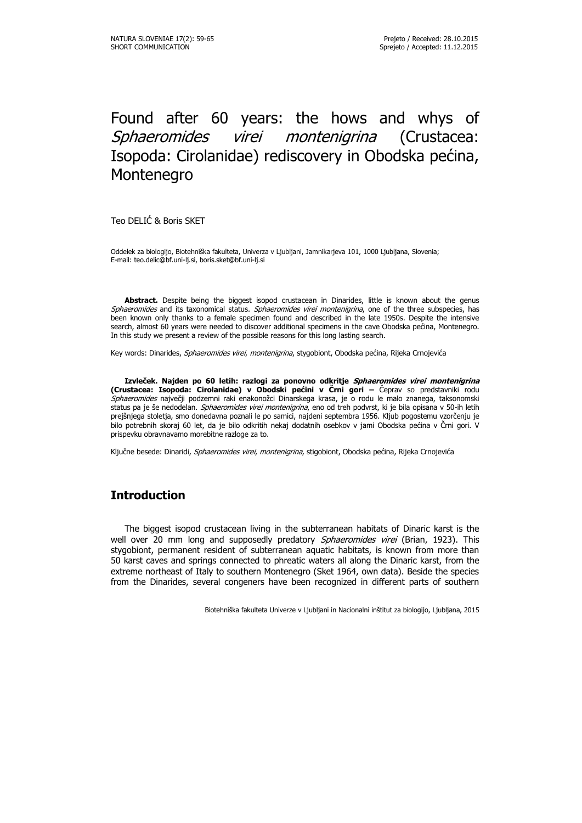# Found after 60 years: the hows and whys of Sphaeromides virei montenigrina (Crustacea: Isopoda: Cirolanidae) rediscovery in Obodska pećina, Montenegro

Teo DELIĆ & Boris SKET

Oddelek za biologijo, Biotehniška fakulteta, Univerza v Ljubljani, Jamnikarjeva 101, 1000 Ljubljana, Slovenia; E-mail: teo.delic@bf.uni-lj.si, boris.sket@bf.uni-lj.si

Abstract. Despite being the biggest isopod crustacean in Dinarides, little is known about the genus Sphaeromides and its taxonomical status. Sphaeromides virei montenigrina, one of the three subspecies, has been known only thanks to a female specimen found and described in the late 1950s. Despite the intensive search, almost 60 years were needed to discover additional specimens in the cave Obodska pećina, Montenegro. In this study we present a review of the possible reasons for this long lasting search.

Key words: Dinarides, Sphaeromides virei, montenigrina, stygobiont, Obodska pećina, Rijeka Crnojevića

**Izvleček. Najden po 60 letih: razlogi za ponovno odkritje Sphaeromides virei montenigrina (Crustacea: Isopoda: Cirolanidae) v Obodski pećini v Črni gori –** Čeprav so predstavniki rodu Sphaeromides največji podzemni raki enakonožci Dinarskega krasa, je o rodu le malo znanega, taksonomski status pa je še nedodelan. Sphaeromides virei montenigrina, eno od treh podvrst, ki je bila opisana v 50-ih letih prejšnjega stoletja, smo donedavna poznali le po samici, najdeni septembra 1956. Kljub pogostemu vzorčenju je bilo potrebnih skoraj 60 let, da je bilo odkritih nekaj dodatnih osebkov v jami Obodska pećina v Črni gori. V prispevku obravnavamo morebitne razloge za to.

Ključne besede: Dinaridi, Sphaeromides virei, montenigrina, stigobiont, Obodska pećina, Rijeka Crnojevića

# **Introduction**

The biggest isopod crustacean living in the subterranean habitats of Dinaric karst is the well over 20 mm long and supposedly predatory Sphaeromides virei (Brian, 1923). This stygobiont, permanent resident of subterranean aquatic habitats, is known from more than 50 karst caves and springs connected to phreatic waters all along the Dinaric karst, from the extreme northeast of Italy to southern Montenegro (Sket 1964, own data). Beside the species from the Dinarides, several congeners have been recognized in different parts of southern

Biotehniška fakulteta Univerze v Ljubljani in Nacionalni inštitut za biologijo, Ljubljana, 2015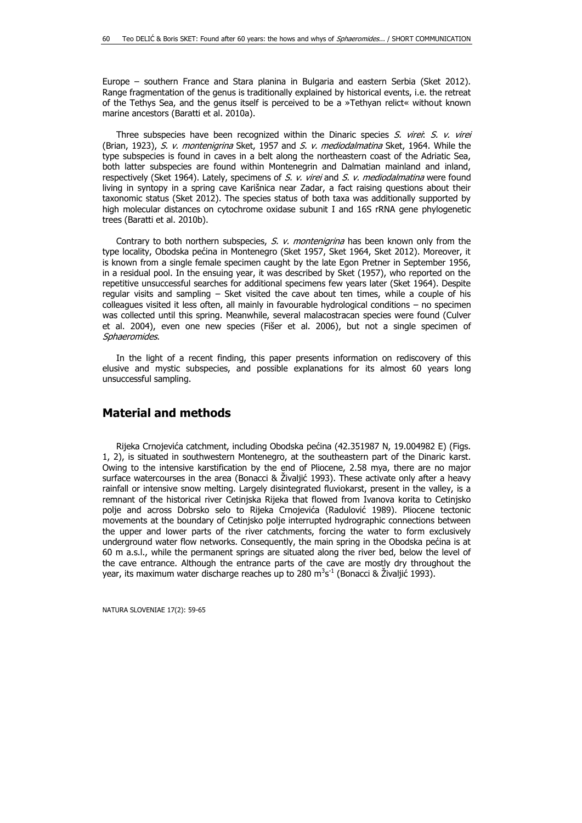Europe – southern France and Stara planina in Bulgaria and eastern Serbia (Sket 2012). Range fragmentation of the genus is traditionally explained by historical events, i.e. the retreat of the Tethys Sea, and the genus itself is perceived to be a »Tethyan relict« without known marine ancestors (Baratti et al. 2010a).

Three subspecies have been recognized within the Dinaric species  $S$ . virei:  $S$ . v. virei (Brian, 1923), S. v. montenigrina Sket, 1957 and S. v. mediodalmatina Sket, 1964. While the type subspecies is found in caves in a belt along the northeastern coast of the Adriatic Sea, both latter subspecies are found within Montenegrin and Dalmatian mainland and inland, respectively (Sket 1964). Lately, specimens of S. v. virei and S. v. mediodalmatina were found living in syntopy in a spring cave Karišnica near Zadar, a fact raising questions about their taxonomic status (Sket 2012). The species status of both taxa was additionally supported by high molecular distances on cytochrome oxidase subunit I and 16S rRNA gene phylogenetic trees (Baratti et al. 2010b).

Contrary to both northern subspecies, S. v. montenigrina has been known only from the type locality, Obodska pećina in Montenegro (Sket 1957, Sket 1964, Sket 2012). Moreover, it is known from a single female specimen caught by the late Egon Pretner in September 1956, in a residual pool. In the ensuing year, it was described by Sket (1957), who reported on the repetitive unsuccessful searches for additional specimens few years later (Sket 1964). Despite regular visits and sampling – Sket visited the cave about ten times, while a couple of his colleagues visited it less often, all mainly in favourable hydrological conditions – no specimen was collected until this spring. Meanwhile, several malacostracan species were found (Culver et al. 2004), even one new species (Fišer et al. 2006), but not a single specimen of Sphaeromides.

In the light of a recent finding, this paper presents information on rediscovery of this elusive and mystic subspecies, and possible explanations for its almost 60 years long unsuccessful sampling.

#### **Material and methods**

Rijeka Crnojevića catchment, including Obodska pećina (42.351987 N, 19.004982 E) (Figs. 1, 2), is situated in southwestern Montenegro, at the southeastern part of the Dinaric karst. Owing to the intensive karstification by the end of Pliocene, 2.58 mya, there are no major surface watercourses in the area (Bonacci & Živaljić 1993). These activate only after a heavy rainfall or intensive snow melting. Largely disintegrated fluviokarst, present in the valley, is a remnant of the historical river Cetinjska Rijeka that flowed from Ivanova korita to Cetinjsko polje and across Dobrsko selo to Rijeka Crnojevića (Radulović 1989). Pliocene tectonic movements at the boundary of Cetinjsko polje interrupted hydrographic connections between the upper and lower parts of the river catchments, forcing the water to form exclusively underground water flow networks. Consequently, the main spring in the Obodska pećina is at 60 m a.s.l., while the permanent springs are situated along the river bed, below the level of the cave entrance. Although the entrance parts of the cave are mostly dry throughout the year, its maximum water discharge reaches up to 280 m $^3$ s $^1$  (Bonacci & Živaljić 1993).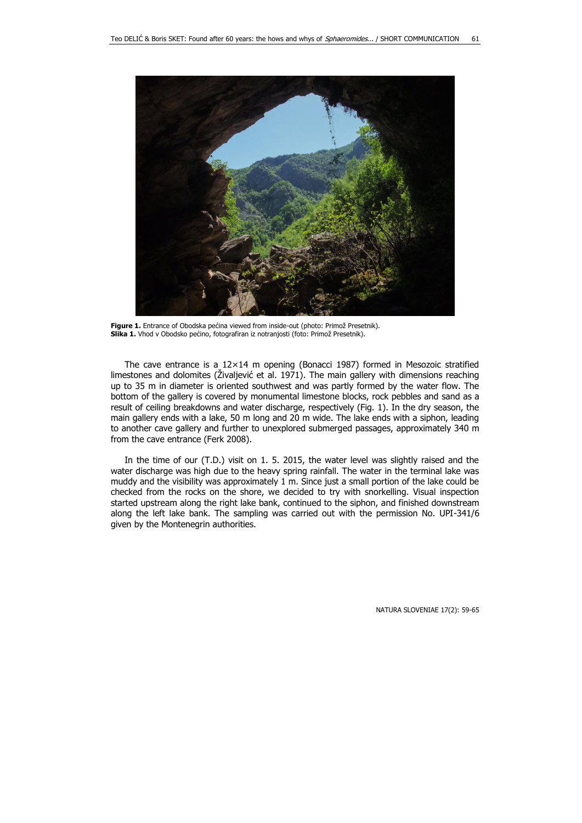

Figure 1. Entrance of Obodska pećina viewed from inside-out (photo: Primož Presetnik). **Slika 1.** Vhod v Obodsko pećino, fotografiran iz notranjosti (foto: Primož Presetnik).

The cave entrance is a  $12\times14$  m opening (Bonacci 1987) formed in Mesozoic stratified limestones and dolomites (Živaljević et al. 1971). The main gallery with dimensions reaching up to 35 m in diameter is oriented southwest and was partly formed by the water flow. The bottom of the gallery is covered by monumental limestone blocks, rock pebbles and sand as a result of ceiling breakdowns and water discharge, respectively (Fig. 1). In the dry season, the main gallery ends with a lake, 50 m long and 20 m wide. The lake ends with a siphon, leading to another cave gallery and further to unexplored submerged passages, approximately 340 m from the cave entrance (Ferk 2008).

In the time of our (T.D.) visit on 1. 5. 2015, the water level was slightly raised and the water discharge was high due to the heavy spring rainfall. The water in the terminal lake was muddy and the visibility was approximately 1 m. Since just a small portion of the lake could be checked from the rocks on the shore, we decided to try with snorkelling. Visual inspection started upstream along the right lake bank, continued to the siphon, and finished downstream along the left lake bank. The sampling was carried out with the permission No. UPI-341/6 given by the Montenegrin authorities.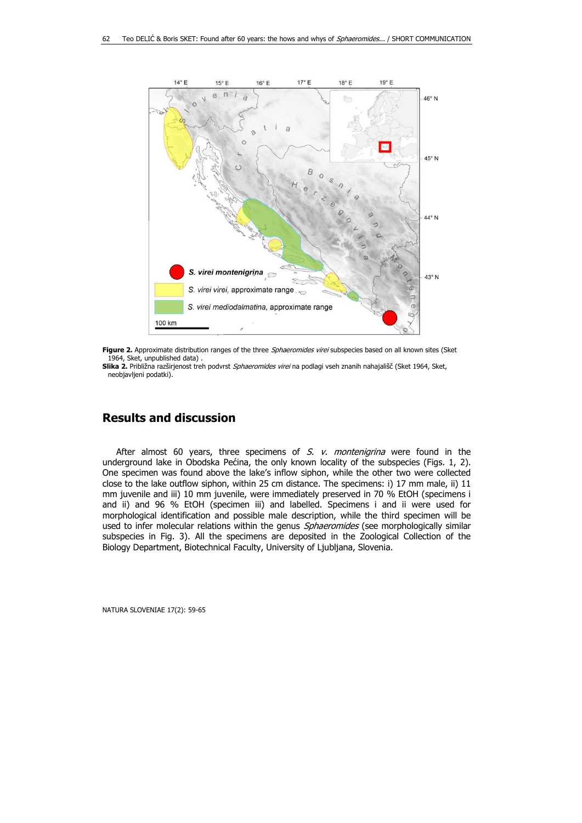

Figure 2. Approximate distribution ranges of the three Sphaeromides virei subspecies based on all known sites (Sket 1964, Sket, unpublished data)

Slika 2. Približna razširjenost treh podvrst Sphaeromides virei na podlagi vseh znanih nahajališč (Sket 1964, Sket, neobjavljeni podatki).

### **Results and discussion**

After almost 60 years, three specimens of  $S.$  v. montenigrina were found in the underground lake in Obodska Pećina, the only known locality of the subspecies (Figs. 1, 2). One specimen was found above the lake's inflow siphon, while the other two were collected close to the lake outflow siphon, within 25 cm distance. The specimens: i) 17 mm male, ii) 11 mm juvenile and iii) 10 mm juvenile, were immediately preserved in 70 % EtOH (specimens i and ii) and 96 % EtOH (specimen iii) and labelled. Specimens i and ii were used for morphological identification and possible male description, while the third specimen will be used to infer molecular relations within the genus Sphaeromides (see morphologically similar subspecies in Fig. 3). All the specimens are deposited in the Zoological Collection of the Biology Department, Biotechnical Faculty, University of Ljubljana, Slovenia.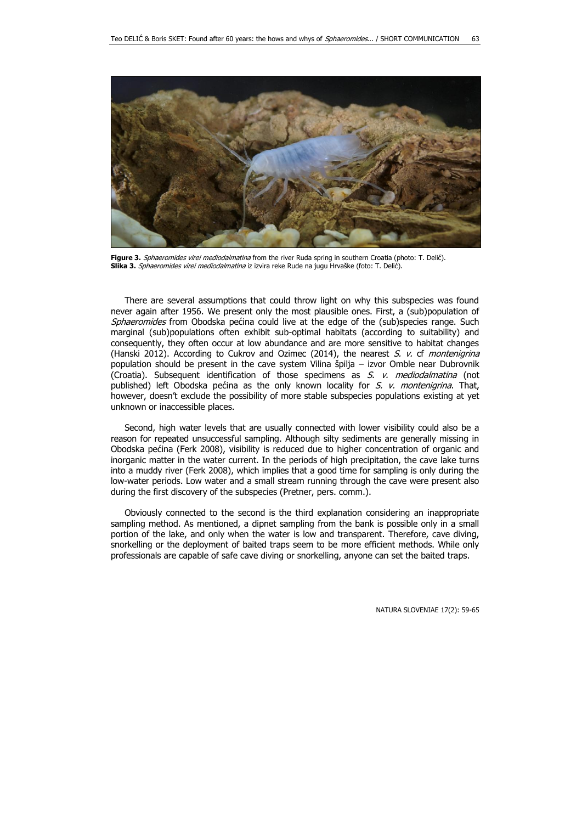

Figure 3. Sphaeromides virei mediodalmatina from the river Ruda spring in southern Croatia (photo: T. Delić). **Slika 3.** Sphaeromides virei mediodalmatina iz izvira reke Rude na jugu Hrvaške (foto: T. Delić).

There are several assumptions that could throw light on why this subspecies was found never again after 1956. We present only the most plausible ones. First, a (sub)population of Sphaeromides from Obodska pećina could live at the edge of the (sub)species range. Such marginal (sub)populations often exhibit sub-optimal habitats (according to suitability) and consequently, they often occur at low abundance and are more sensitive to habitat changes (Hanski 2012). According to Cukrov and Ozimec (2014), the nearest  $S$ . v. cf montenigrina population should be present in the cave system Vilina špilja – izvor Omble near Dubrovnik (Croatia). Subsequent identification of those specimens as  $S.$  v. mediodalmatina (not published) left Obodska pećina as the only known locality for  $S$ . v. montenigrina. That, however, doesn't exclude the possibility of more stable subspecies populations existing at yet unknown or inaccessible places.

Second, high water levels that are usually connected with lower visibility could also be a reason for repeated unsuccessful sampling. Although silty sediments are generally missing in Obodska pećina (Ferk 2008), visibility is reduced due to higher concentration of organic and inorganic matter in the water current. In the periods of high precipitation, the cave lake turns into a muddy river (Ferk 2008), which implies that a good time for sampling is only during the low-water periods. Low water and a small stream running through the cave were present also during the first discovery of the subspecies (Pretner, pers. comm.).

Obviously connected to the second is the third explanation considering an inappropriate sampling method. As mentioned, a dipnet sampling from the bank is possible only in a small portion of the lake, and only when the water is low and transparent. Therefore, cave diving, snorkelling or the deployment of baited traps seem to be more efficient methods. While only professionals are capable of safe cave diving or snorkelling, anyone can set the baited traps.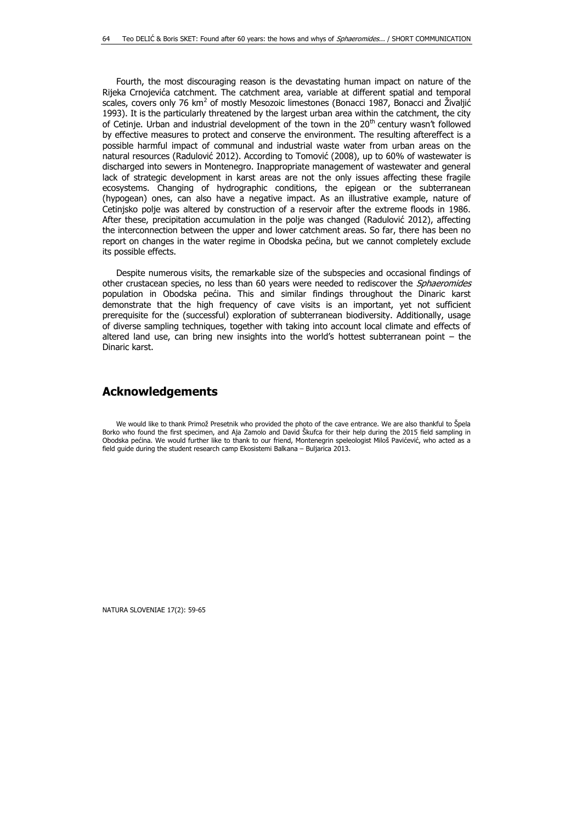Fourth, the most discouraging reason is the devastating human impact on nature of the Rijeka Crnojevića catchment. The catchment area, variable at different spatial and temporal scales, covers only 76 km<sup>2</sup> of mostly Mesozoic limestones (Bonacci 1987, Bonacci and Živaljić 1993). It is the particularly threatened by the largest urban area within the catchment, the city of Cetinje. Urban and industrial development of the town in the  $20<sup>th</sup>$  century wasn't followed by effective measures to protect and conserve the environment. The resulting aftereffect is a possible harmful impact of communal and industrial waste water from urban areas on the natural resources (Radulović 2012). According to Tomović (2008), up to 60% of wastewater is discharged into sewers in Montenegro. Inappropriate management of wastewater and general lack of strategic development in karst areas are not the only issues affecting these fragile ecosystems. Changing of hydrographic conditions, the epigean or the subterranean (hypogean) ones, can also have a negative impact. As an illustrative example, nature of Cetinjsko polje was altered by construction of a reservoir after the extreme floods in 1986. After these, precipitation accumulation in the polje was changed (Radulović 2012), affecting the interconnection between the upper and lower catchment areas. So far, there has been no report on changes in the water regime in Obodska pećina, but we cannot completely exclude its possible effects.

Despite numerous visits, the remarkable size of the subspecies and occasional findings of other crustacean species, no less than 60 years were needed to rediscover the *Sphaeromides* population in Obodska pećina. This and similar findings throughout the Dinaric karst demonstrate that the high frequency of cave visits is an important, yet not sufficient prerequisite for the (successful) exploration of subterranean biodiversity. Additionally, usage of diverse sampling techniques, together with taking into account local climate and effects of altered land use, can bring new insights into the world's hottest subterranean point – the Dinaric karst.

#### **Acknowledgements**

We would like to thank Primož Presetnik who provided the photo of the cave entrance. We are also thankful to Špela Borko who found the first specimen, and Aja Zamolo and David Škufca for their help during the 2015 field sampling in Obodska pećina. We would further like to thank to our friend, Montenegrin speleologist Miloš Pavićević, who acted as a field guide during the student research camp Ekosistemi Balkana – Buljarica 2013.